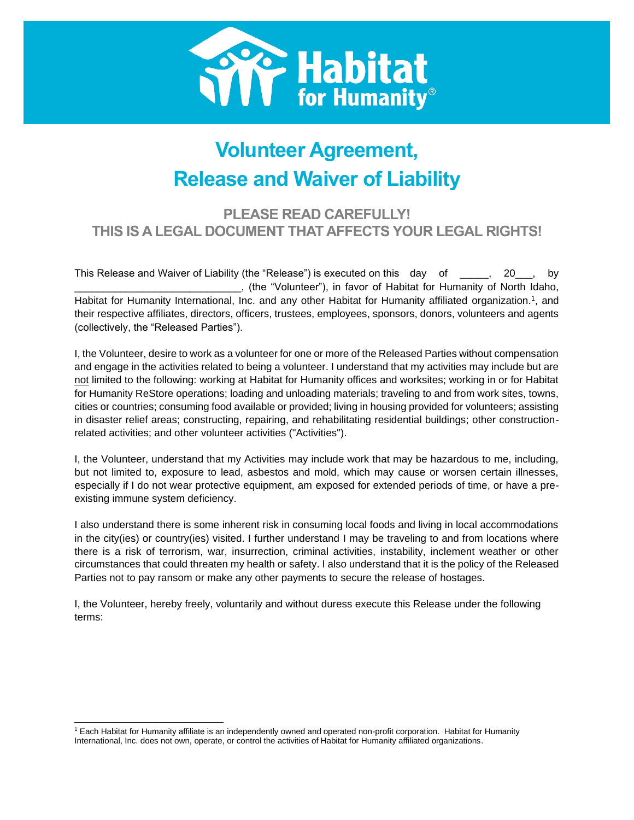

# **Volunteer Agreement, Release and Waiver of Liability**

## **PLEASE READ CAREFULLY! THIS IS A LEGAL DOCUMENT THAT AFFECTS YOUR LEGAL RIGHTS!**

This Release and Waiver of Liability (the "Release") is executed on this day of \_\_\_\_\_, 20\_\_\_, by \_\_\_\_\_\_\_\_\_\_\_\_\_\_\_\_\_\_\_\_\_\_\_\_\_\_\_\_\_, (the "Volunteer"), in favor of Habitat for Humanity of North Idaho, Habitat for Humanity International, Inc. and any other Habitat for Humanity affiliated organization.<sup>1</sup>, and their respective affiliates, directors, officers, trustees, employees, sponsors, donors, volunteers and agents (collectively, the "Released Parties").

I, the Volunteer, desire to work as a volunteer for one or more of the Released Parties without compensation and engage in the activities related to being a volunteer. I understand that my activities may include but are not limited to the following: working at Habitat for Humanity offices and worksites; working in or for Habitat for Humanity ReStore operations; loading and unloading materials; traveling to and from work sites, towns, cities or countries; consuming food available or provided; living in housing provided for volunteers; assisting in disaster relief areas; constructing, repairing, and rehabilitating residential buildings; other constructionrelated activities; and other volunteer activities ("Activities").

I, the Volunteer, understand that my Activities may include work that may be hazardous to me, including, but not limited to, exposure to lead, asbestos and mold, which may cause or worsen certain illnesses, especially if I do not wear protective equipment, am exposed for extended periods of time, or have a preexisting immune system deficiency.

I also understand there is some inherent risk in consuming local foods and living in local accommodations in the city(ies) or country(ies) visited. I further understand I may be traveling to and from locations where there is a risk of terrorism, war, insurrection, criminal activities, instability, inclement weather or other circumstances that could threaten my health or safety. I also understand that it is the policy of the Released Parties not to pay ransom or make any other payments to secure the release of hostages.

I, the Volunteer, hereby freely, voluntarily and without duress execute this Release under the following terms:

<sup>1</sup> Each Habitat for Humanity affiliate is an independently owned and operated non-profit corporation. Habitat for Humanity International, Inc. does not own, operate, or control the activities of Habitat for Humanity affiliated organizations.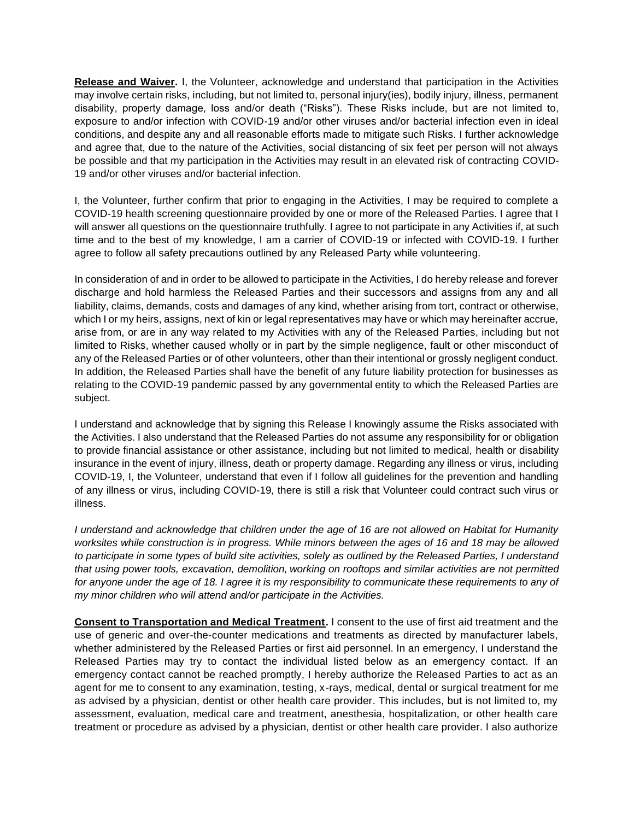**Release and Waiver.** I, the Volunteer, acknowledge and understand that participation in the Activities may involve certain risks, including, but not limited to, personal injury(ies), bodily injury, illness, permanent disability, property damage, loss and/or death ("Risks"). These Risks include, but are not limited to, exposure to and/or infection with COVID-19 and/or other viruses and/or bacterial infection even in ideal conditions, and despite any and all reasonable efforts made to mitigate such Risks. I further acknowledge and agree that, due to the nature of the Activities, social distancing of six feet per person will not always be possible and that my participation in the Activities may result in an elevated risk of contracting COVID-19 and/or other viruses and/or bacterial infection.

I, the Volunteer, further confirm that prior to engaging in the Activities, I may be required to complete a COVID-19 health screening questionnaire provided by one or more of the Released Parties. I agree that I will answer all questions on the questionnaire truthfully. I agree to not participate in any Activities if, at such time and to the best of my knowledge, I am a carrier of COVID-19 or infected with COVID-19. I further agree to follow all safety precautions outlined by any Released Party while volunteering.

In consideration of and in order to be allowed to participate in the Activities, I do hereby release and forever discharge and hold harmless the Released Parties and their successors and assigns from any and all liability, claims, demands, costs and damages of any kind, whether arising from tort, contract or otherwise, which I or my heirs, assigns, next of kin or legal representatives may have or which may hereinafter accrue, arise from, or are in any way related to my Activities with any of the Released Parties, including but not limited to Risks, whether caused wholly or in part by the simple negligence, fault or other misconduct of any of the Released Parties or of other volunteers, other than their intentional or grossly negligent conduct. In addition, the Released Parties shall have the benefit of any future liability protection for businesses as relating to the COVID-19 pandemic passed by any governmental entity to which the Released Parties are subject.

I understand and acknowledge that by signing this Release I knowingly assume the Risks associated with the Activities. I also understand that the Released Parties do not assume any responsibility for or obligation to provide financial assistance or other assistance, including but not limited to medical, health or disability insurance in the event of injury, illness, death or property damage. Regarding any illness or virus, including COVID-19, I, the Volunteer, understand that even if I follow all guidelines for the prevention and handling of any illness or virus, including COVID-19, there is still a risk that Volunteer could contract such virus or illness.

*I* understand and acknowledge that children under the age of 16 are not allowed on Habitat for Humanity *worksites while construction is in progress. While minors between the ages of 16 and 18 may be allowed to participate in some types of build site activities, solely as outlined by the Released Parties, I understand that using power tools, excavation, demolition, working on rooftops and similar activities are not permitted*  for anyone under the age of 18. I agree it is my responsibility to communicate these requirements to any of *my minor children who will attend and/or participate in the Activities.*

**Consent to Transportation and Medical Treatment.** I consent to the use of first aid treatment and the use of generic and over-the-counter medications and treatments as directed by manufacturer labels, whether administered by the Released Parties or first aid personnel. In an emergency, I understand the Released Parties may try to contact the individual listed below as an emergency contact. If an emergency contact cannot be reached promptly, I hereby authorize the Released Parties to act as an agent for me to consent to any examination, testing, x-rays, medical, dental or surgical treatment for me as advised by a physician, dentist or other health care provider. This includes, but is not limited to, my assessment, evaluation, medical care and treatment, anesthesia, hospitalization, or other health care treatment or procedure as advised by a physician, dentist or other health care provider. I also authorize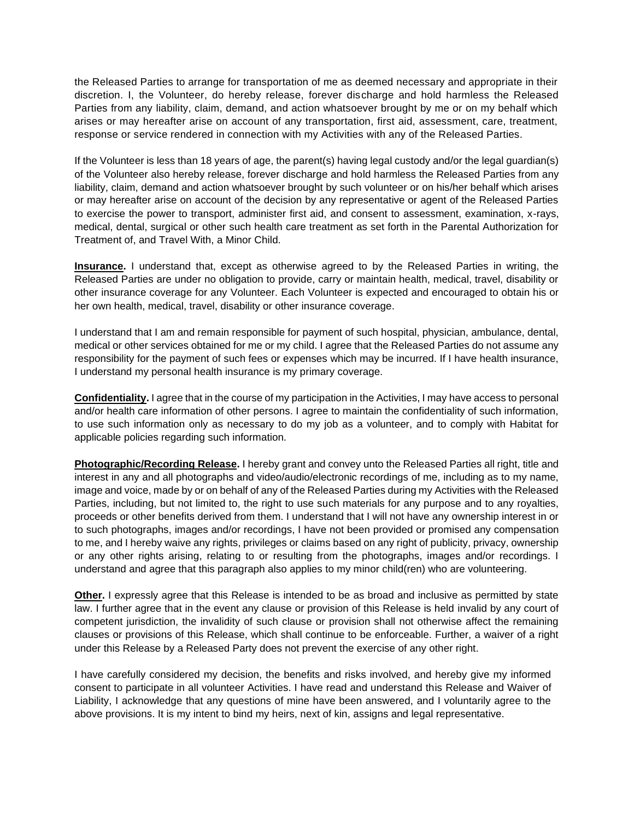the Released Parties to arrange for transportation of me as deemed necessary and appropriate in their discretion. I, the Volunteer, do hereby release, forever discharge and hold harmless the Released Parties from any liability, claim, demand, and action whatsoever brought by me or on my behalf which arises or may hereafter arise on account of any transportation, first aid, assessment, care, treatment, response or service rendered in connection with my Activities with any of the Released Parties.

If the Volunteer is less than 18 years of age, the parent(s) having legal custody and/or the legal guardian(s) of the Volunteer also hereby release, forever discharge and hold harmless the Released Parties from any liability, claim, demand and action whatsoever brought by such volunteer or on his/her behalf which arises or may hereafter arise on account of the decision by any representative or agent of the Released Parties to exercise the power to transport, administer first aid, and consent to assessment, examination, x-rays, medical, dental, surgical or other such health care treatment as set forth in the Parental Authorization for Treatment of, and Travel With, a Minor Child.

**Insurance.** I understand that, except as otherwise agreed to by the Released Parties in writing, the Released Parties are under no obligation to provide, carry or maintain health, medical, travel, disability or other insurance coverage for any Volunteer. Each Volunteer is expected and encouraged to obtain his or her own health, medical, travel, disability or other insurance coverage.

I understand that I am and remain responsible for payment of such hospital, physician, ambulance, dental, medical or other services obtained for me or my child. I agree that the Released Parties do not assume any responsibility for the payment of such fees or expenses which may be incurred. If I have health insurance, I understand my personal health insurance is my primary coverage.

**Confidentiality.** I agree that in the course of my participation in the Activities, I may have access to personal and/or health care information of other persons. I agree to maintain the confidentiality of such information, to use such information only as necessary to do my job as a volunteer, and to comply with Habitat for applicable policies regarding such information.

**Photographic/Recording Release.** I hereby grant and convey unto the Released Parties all right, title and interest in any and all photographs and video/audio/electronic recordings of me, including as to my name, image and voice, made by or on behalf of any of the Released Parties during my Activities with the Released Parties, including, but not limited to, the right to use such materials for any purpose and to any royalties, proceeds or other benefits derived from them. I understand that I will not have any ownership interest in or to such photographs, images and/or recordings, I have not been provided or promised any compensation to me, and I hereby waive any rights, privileges or claims based on any right of publicity, privacy, ownership or any other rights arising, relating to or resulting from the photographs, images and/or recordings. I understand and agree that this paragraph also applies to my minor child(ren) who are volunteering.

**Other.** I expressly agree that this Release is intended to be as broad and inclusive as permitted by state law. I further agree that in the event any clause or provision of this Release is held invalid by any court of competent jurisdiction, the invalidity of such clause or provision shall not otherwise affect the remaining clauses or provisions of this Release, which shall continue to be enforceable. Further, a waiver of a right under this Release by a Released Party does not prevent the exercise of any other right.

I have carefully considered my decision, the benefits and risks involved, and hereby give my informed consent to participate in all volunteer Activities. I have read and understand this Release and Waiver of Liability, I acknowledge that any questions of mine have been answered, and I voluntarily agree to the above provisions. It is my intent to bind my heirs, next of kin, assigns and legal representative.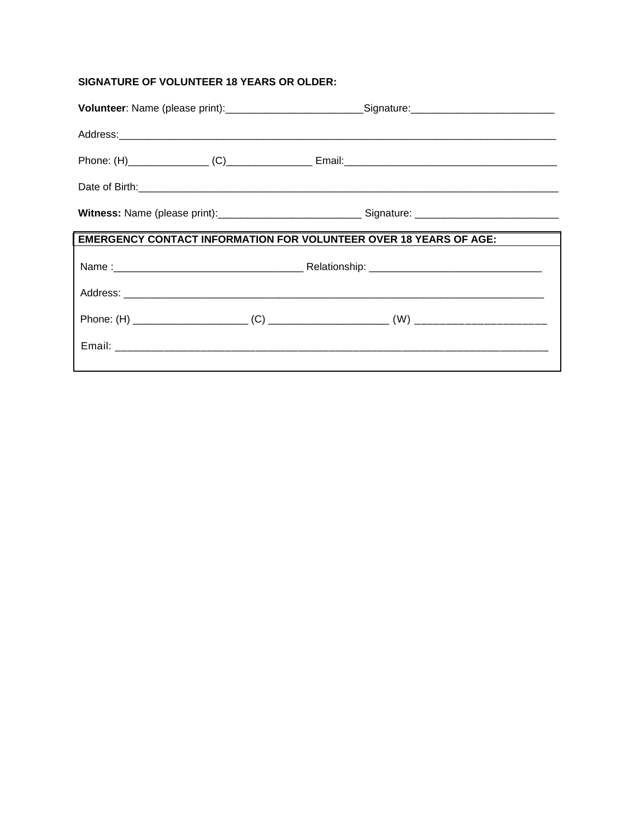## **SIGNATURE OF VOLUNTEER 18 YEARS OR OLDER:**

| Volunteer: Name (please print):____________________________Signature:______________________________ |  |  |  |
|-----------------------------------------------------------------------------------------------------|--|--|--|
|                                                                                                     |  |  |  |
|                                                                                                     |  |  |  |
|                                                                                                     |  |  |  |
|                                                                                                     |  |  |  |
| <b>EMERGENCY CONTACT INFORMATION FOR VOLUNTEER OVER 18 YEARS OF AGE:</b>                            |  |  |  |
|                                                                                                     |  |  |  |
|                                                                                                     |  |  |  |
|                                                                                                     |  |  |  |
|                                                                                                     |  |  |  |
|                                                                                                     |  |  |  |